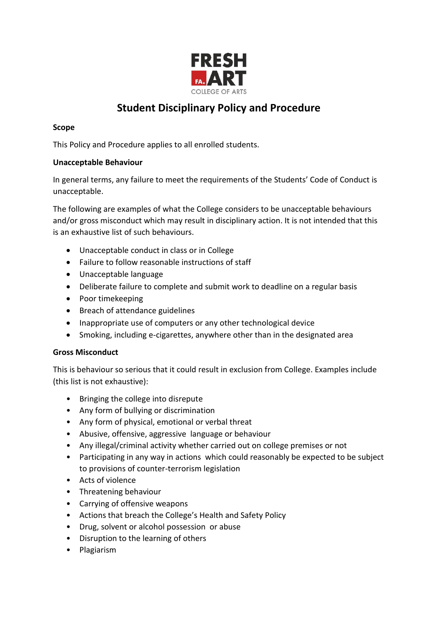

# **Student Disciplinary Policy and Procedure**

## **Scope**

This Policy and Procedure applies to all enrolled students.

## **Unacceptable Behaviour**

In general terms, any failure to meet the requirements of the Students' Code of Conduct is unacceptable.

The following are examples of what the College considers to be unacceptable behaviours and/or gross misconduct which may result in disciplinary action. It is not intended that this is an exhaustive list of such behaviours.

- Unacceptable conduct in class or in College
- Failure to follow reasonable instructions of staff
- Unacceptable language
- Deliberate failure to complete and submit work to deadline on a regular basis
- Poor timekeeping
- Breach of attendance guidelines
- Inappropriate use of computers or any other technological device
- Smoking, including e-cigarettes, anywhere other than in the designated area

## **Gross Misconduct**

This is behaviour so serious that it could result in exclusion from College. Examples include (this list is not exhaustive):

- Bringing the college into disrepute
- Any form of bullying or discrimination
- Any form of physical, emotional or verbal threat
- Abusive, offensive, aggressive language or behaviour
- Any illegal/criminal activity whether carried out on college premises or not
- Participating in any way in actions which could reasonably be expected to be subject to provisions of counter-terrorism legislation
- Acts of violence
- Threatening behaviour
- Carrying of offensive weapons
- Actions that breach the College's Health and Safety Policy
- Drug, solvent or alcohol possession or abuse
- Disruption to the learning of others
- Plagiarism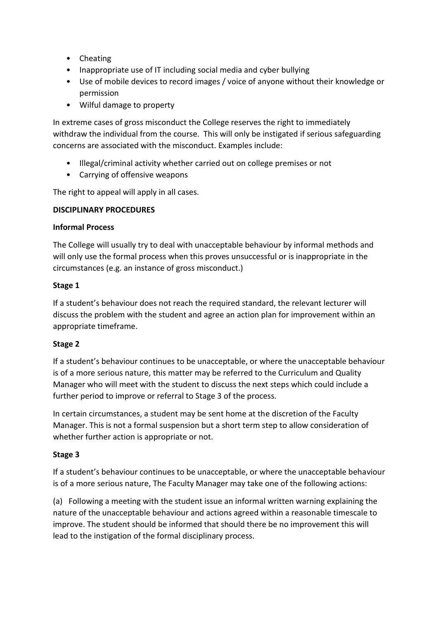- Cheating
- Inappropriate use of IT including social media and cyber bullying
- Use of mobile devices to record images / voice of anyone without their knowledge or permission
- Wilful damage to property

In extreme cases of gross misconduct the College reserves the right to immediately withdraw the individual from the course. This will only be instigated if serious safeguarding concerns are associated with the misconduct. Examples include:

- Illegal/criminal activity whether carried out on college premises or not
- Carrying of offensive weapons

The right to appeal will apply in all cases.

#### **DISCIPLINARY PROCEDURES**

#### **Informal Process**

The College will usually try to deal with unacceptable behaviour by informal methods and will only use the formal process when this proves unsuccessful or is inappropriate in the circumstances (e.g. an instance of gross misconduct.)

#### **Stage 1**

If a student's behaviour does not reach the required standard, the relevant lecturer will discuss the problem with the student and agree an action plan for improvement within an appropriate timeframe.

## **Stage 2**

If a student's behaviour continues to be unacceptable, or where the unacceptable behaviour is of a more serious nature, this matter may be referred to the Curriculum and Quality Manager who will meet with the student to discuss the next steps which could include a further period to improve or referral to Stage 3 of the process.

In certain circumstances, a student may be sent home at the discretion of the Faculty Manager. This is not a formal suspension but a short term step to allow consideration of whether further action is appropriate or not.

## **Stage 3**

If a student's behaviour continues to be unacceptable, or where the unacceptable behaviour is of a more serious nature, The Faculty Manager may take one of the following actions:

(a) Following a meeting with the student issue an informal written warning explaining the nature of the unacceptable behaviour and actions agreed within a reasonable timescale to improve. The student should be informed that should there be no improvement this will lead to the instigation of the formal disciplinary process.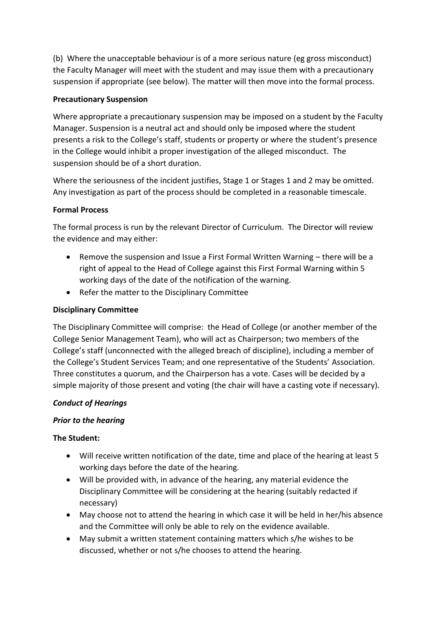(b) Where the unacceptable behaviour is of a more serious nature (eg gross misconduct) the Faculty Manager will meet with the student and may issue them with a precautionary suspension if appropriate (see below). The matter will then move into the formal process.

# **Precautionary Suspension**

Where appropriate a precautionary suspension may be imposed on a student by the Faculty Manager. Suspension is a neutral act and should only be imposed where the student presents a risk to the College's staff, students or property or where the student's presence in the College would inhibit a proper investigation of the alleged misconduct. The suspension should be of a short duration.

Where the seriousness of the incident justifies, Stage 1 or Stages 1 and 2 may be omitted. Any investigation as part of the process should be completed in a reasonable timescale.

## **Formal Process**

The formal process is run by the relevant Director of Curriculum. The Director will review the evidence and may either:

- Remove the suspension and Issue a First Formal Written Warning there will be a right of appeal to the Head of College against this First Formal Warning within 5 working days of the date of the notification of the warning.
- Refer the matter to the Disciplinary Committee

## **Disciplinary Committee**

The Disciplinary Committee will comprise: the Head of College (or another member of the College Senior Management Team), who will act as Chairperson; two members of the College's staff (unconnected with the alleged breach of discipline), including a member of the College's Student Services Team; and one representative of the Students' Association. Three constitutes a quorum, and the Chairperson has a vote. Cases will be decided by a simple majority of those present and voting (the chair will have a casting vote if necessary).

## *Conduct of Hearings*

## *Prior to the hearing*

## **The Student:**

- Will receive written notification of the date, time and place of the hearing at least 5 working days before the date of the hearing.
- Will be provided with, in advance of the hearing, any material evidence the Disciplinary Committee will be considering at the hearing (suitably redacted if necessary)
- May choose not to attend the hearing in which case it will be held in her/his absence and the Committee will only be able to rely on the evidence available.
- May submit a written statement containing matters which s/he wishes to be discussed, whether or not s/he chooses to attend the hearing.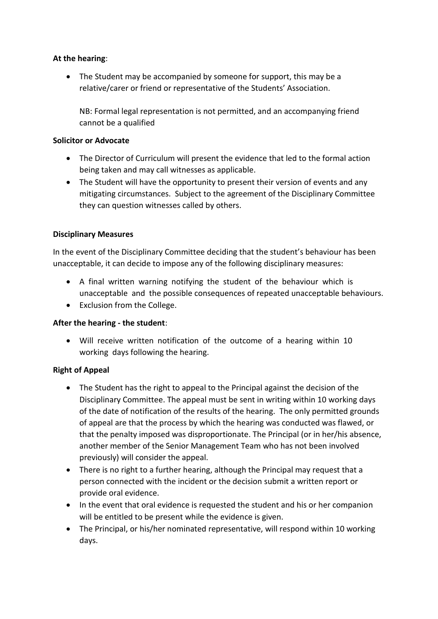#### **At the hearing**:

• The Student may be accompanied by someone for support, this may be a relative/carer or friend or representative of the Students' Association.

NB: Formal legal representation is not permitted, and an accompanying friend cannot be a qualified

#### **Solicitor or Advocate**

- The Director of Curriculum will present the evidence that led to the formal action being taken and may call witnesses as applicable.
- The Student will have the opportunity to present their version of events and any mitigating circumstances. Subject to the agreement of the Disciplinary Committee they can question witnesses called by others.

## **Disciplinary Measures**

In the event of the Disciplinary Committee deciding that the student's behaviour has been unacceptable, it can decide to impose any of the following disciplinary measures:

- A final written warning notifying the student of the behaviour which is unacceptable and the possible consequences of repeated unacceptable behaviours.
- Exclusion from the College.

## **After the hearing - the student**:

 Will receive written notification of the outcome of a hearing within 10 working days following the hearing.

## **Right of Appeal**

- The Student has the right to appeal to the Principal against the decision of the Disciplinary Committee. The appeal must be sent in writing within 10 working days of the date of notification of the results of the hearing. The only permitted grounds of appeal are that the process by which the hearing was conducted was flawed, or that the penalty imposed was disproportionate. The Principal (or in her/his absence, another member of the Senior Management Team who has not been involved previously) will consider the appeal.
- There is no right to a further hearing, although the Principal may request that a person connected with the incident or the decision submit a written report or provide oral evidence.
- In the event that oral evidence is requested the student and his or her companion will be entitled to be present while the evidence is given.
- The Principal, or his/her nominated representative, will respond within 10 working days.